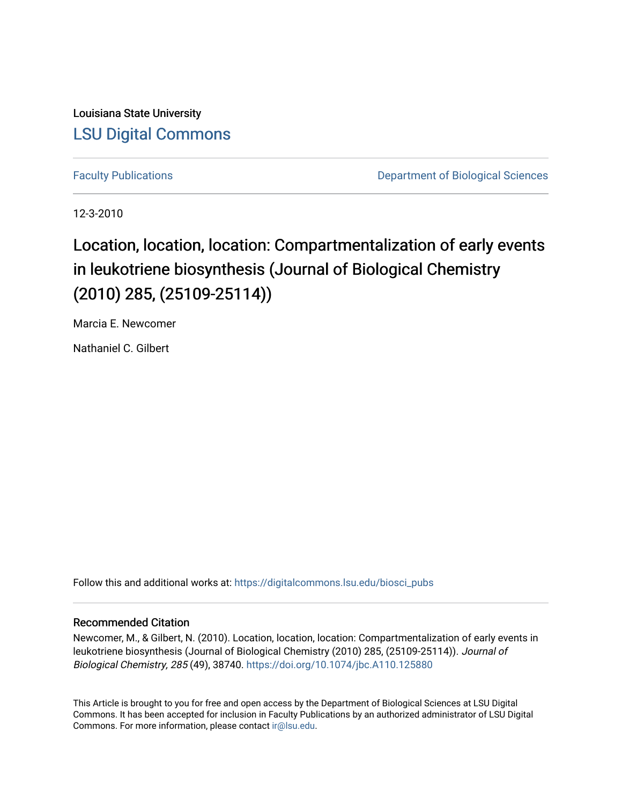Louisiana State University [LSU Digital Commons](https://digitalcommons.lsu.edu/)

[Faculty Publications](https://digitalcommons.lsu.edu/biosci_pubs) **Exercise 2 and Table 2 and Table 2 and Table 2 and Table 2 and Table 2 and Table 2 and Table 2 and Table 2 and Table 2 and Table 2 and Table 2 and Table 2 and Table 2 and Table 2 and Table 2 and Table** 

12-3-2010

# Location, location, location: Compartmentalization of early events in leukotriene biosynthesis (Journal of Biological Chemistry (2010) 285, (25109-25114))

Marcia E. Newcomer

Nathaniel C. Gilbert

Follow this and additional works at: [https://digitalcommons.lsu.edu/biosci\\_pubs](https://digitalcommons.lsu.edu/biosci_pubs?utm_source=digitalcommons.lsu.edu%2Fbiosci_pubs%2F2704&utm_medium=PDF&utm_campaign=PDFCoverPages)

# Recommended Citation

Newcomer, M., & Gilbert, N. (2010). Location, location, location: Compartmentalization of early events in leukotriene biosynthesis (Journal of Biological Chemistry (2010) 285, (25109-25114)). Journal of Biological Chemistry, 285 (49), 38740. <https://doi.org/10.1074/jbc.A110.125880>

This Article is brought to you for free and open access by the Department of Biological Sciences at LSU Digital Commons. It has been accepted for inclusion in Faculty Publications by an authorized administrator of LSU Digital Commons. For more information, please contact [ir@lsu.edu](mailto:ir@lsu.edu).